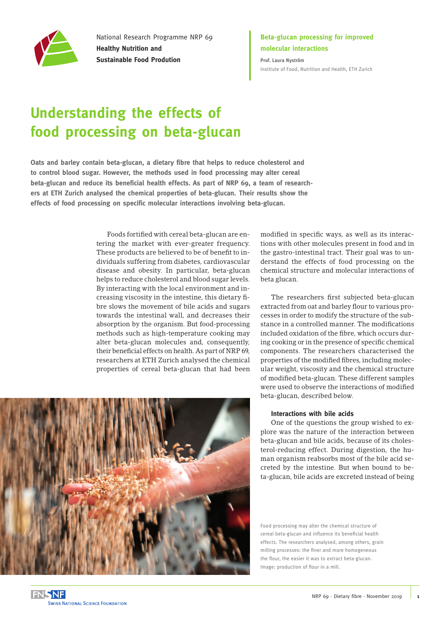

National Research Programme NRP 69 **Healthy Nutrition and Sustainable Food Prodution**

### **Beta-glucan processing for improved molecular interactions**

**Prof. Laura Nyström** [Institute of Food, Nutrition and Health, ETH Zurich](https://ifnh.ethz.ch)

# **Understanding the effects of food processing on beta-glucan**

**Oats and barley contain beta-glucan, a dietary fibre that helps to reduce cholesterol and to control blood sugar. However, the methods used in food processing may alter cereal beta-glucan and reduce its beneficial health effects. As part of NRP 69, a team of researchers at ETH Zurich analysed the chemical properties of beta-glucan. Their results show the effects of food processing on specific molecular interactions involving beta-glucan.**

> Foods fortified with cereal beta-glucan are entering the market with ever-greater frequency. These products are believed to be of benefit to individuals suffering from diabetes, cardiovascular disease and obesity. In particular, beta-glucan helps to reduce cholesterol and blood sugar levels. By interacting with the local environment and increasing viscosity in the intestine, this dietary fibre slows the movement of bile acids and sugars towards the intestinal wall, and decreases their absorption by the organism. But food-processing methods such as high-temperature cooking may alter beta-glucan molecules and, consequently, their beneficial effects on health. As part of NRP 69, researchers at ETH Zurich analysed the chemical properties of cereal beta-glucan that had been



The researchers first subjected beta-glucan extracted from oat and barley flour to various processes in order to modify the structure of the substance in a controlled manner. The modifications included oxidation of the fibre, which occurs during cooking or in the presence of specific chemical components. The researchers characterised the properties of the modified fibres, including molecular weight, viscosity and the chemical structure of modified beta-glucan. These different samples were used to observe the interactions of modified beta-glucan, described below.

#### **Interactions with bile acids**

One of the questions the group wished to explore was the nature of the interaction between beta-glucan and bile acids, because of its cholesterol-reducing effect. During digestion, the human organism reabsorbs most of the bile acid secreted by the intestine. But when bound to beta-glucan, bile acids are excreted instead of being

Food processing may alter the chemical structure of cereal beta-glucan and influence its beneficial health effects. The researchers analysed, among others, grain milling processes: the finer and more homogeneous the flour, the easier it was to extract beta-glucan. Image: production of flour in a mill.